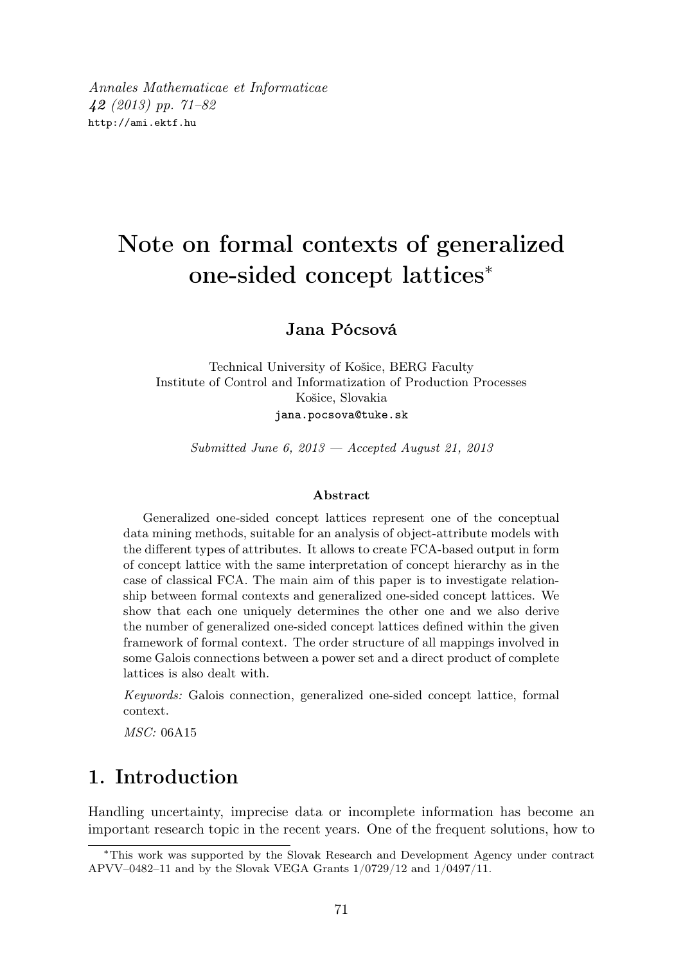Annales Mathematicae et Informaticae 42 (2013) pp. 71–82 http://ami.ektf.hu

# Note on formal contexts of generalized one-sided concept lattices<sup>∗</sup>

#### Jana Pócsová

Technical University of Košice, BERG Faculty Institute of Control and Informatization of Production Processes Košice, Slovakia jana.pocsova@tuke.sk

Submitted June 6,  $2013$  – Accepted August 21, 2013

#### Abstract

Generalized one-sided concept lattices represent one of the conceptual data mining methods, suitable for an analysis of object-attribute models with the different types of attributes. It allows to create FCA-based output in form of concept lattice with the same interpretation of concept hierarchy as in the case of classical FCA. The main aim of this paper is to investigate relationship between formal contexts and generalized one-sided concept lattices. We show that each one uniquely determines the other one and we also derive the number of generalized one-sided concept lattices defined within the given framework of formal context. The order structure of all mappings involved in some Galois connections between a power set and a direct product of complete lattices is also dealt with.

Keywords: Galois connection, generalized one-sided concept lattice, formal context.

MSC: 06A15

### 1. Introduction

Handling uncertainty, imprecise data or incomplete information has become an important research topic in the recent years. One of the frequent solutions, how to

<sup>∗</sup>This work was supported by the Slovak Research and Development Agency under contract APVV–0482–11 and by the Slovak VEGA Grants 1/0729/12 and 1/0497/11.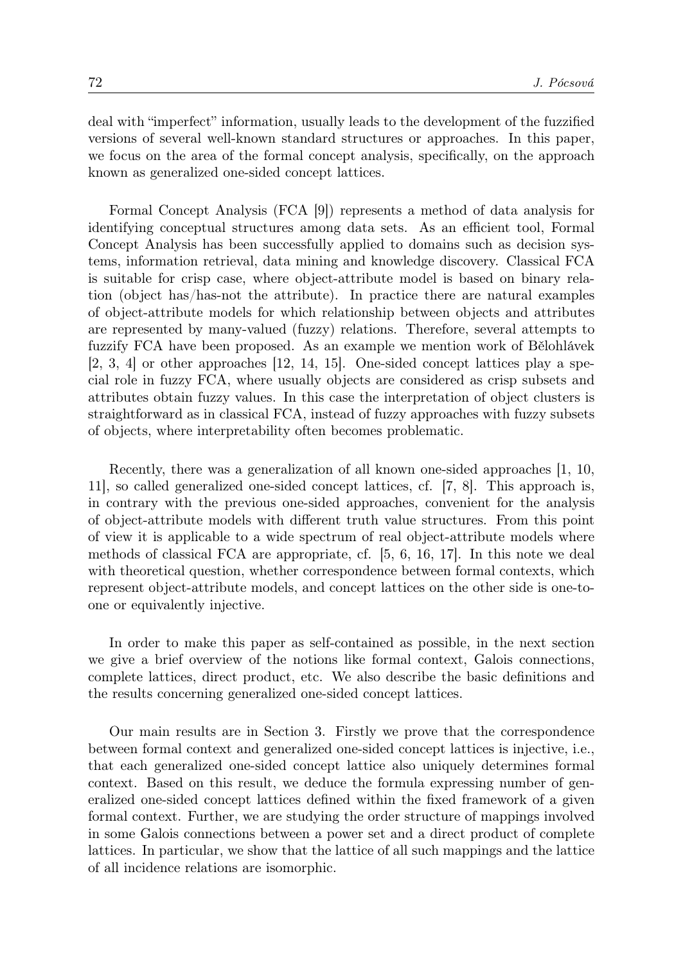deal with "imperfect" information, usually leads to the development of the fuzzified versions of several well-known standard structures or approaches. In this paper, we focus on the area of the formal concept analysis, specifically, on the approach known as generalized one-sided concept lattices.

Formal Concept Analysis (FCA [9]) represents a method of data analysis for identifying conceptual structures among data sets. As an efficient tool, Formal Concept Analysis has been successfully applied to domains such as decision systems, information retrieval, data mining and knowledge discovery. Classical FCA is suitable for crisp case, where object-attribute model is based on binary relation (object has/has-not the attribute). In practice there are natural examples of object-attribute models for which relationship between objects and attributes are represented by many-valued (fuzzy) relations. Therefore, several attempts to fuzzify FCA have been proposed. As an example we mention work of Bělohlávek [2, 3, 4] or other approaches [12, 14, 15]. One-sided concept lattices play a special role in fuzzy FCA, where usually objects are considered as crisp subsets and attributes obtain fuzzy values. In this case the interpretation of object clusters is straightforward as in classical FCA, instead of fuzzy approaches with fuzzy subsets of objects, where interpretability often becomes problematic.

Recently, there was a generalization of all known one-sided approaches [1, 10, 11], so called generalized one-sided concept lattices, cf. [7, 8]. This approach is, in contrary with the previous one-sided approaches, convenient for the analysis of object-attribute models with different truth value structures. From this point of view it is applicable to a wide spectrum of real object-attribute models where methods of classical FCA are appropriate, cf. [5, 6, 16, 17]. In this note we deal with theoretical question, whether correspondence between formal contexts, which represent object-attribute models, and concept lattices on the other side is one-toone or equivalently injective.

In order to make this paper as self-contained as possible, in the next section we give a brief overview of the notions like formal context, Galois connections, complete lattices, direct product, etc. We also describe the basic definitions and the results concerning generalized one-sided concept lattices.

Our main results are in Section 3. Firstly we prove that the correspondence between formal context and generalized one-sided concept lattices is injective, i.e., that each generalized one-sided concept lattice also uniquely determines formal context. Based on this result, we deduce the formula expressing number of generalized one-sided concept lattices defined within the fixed framework of a given formal context. Further, we are studying the order structure of mappings involved in some Galois connections between a power set and a direct product of complete lattices. In particular, we show that the lattice of all such mappings and the lattice of all incidence relations are isomorphic.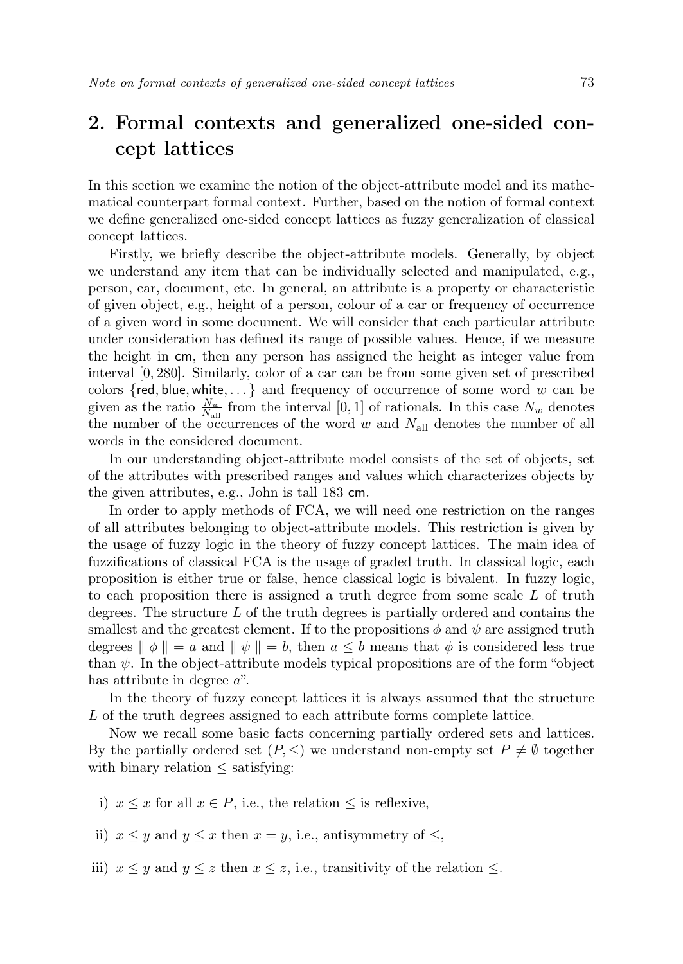# 2. Formal contexts and generalized one-sided concept lattices

In this section we examine the notion of the object-attribute model and its mathematical counterpart formal context. Further, based on the notion of formal context we define generalized one-sided concept lattices as fuzzy generalization of classical concept lattices.

Firstly, we briefly describe the object-attribute models. Generally, by object we understand any item that can be individually selected and manipulated, e.g., person, car, document, etc. In general, an attribute is a property or characteristic of given object, e.g., height of a person, colour of a car or frequency of occurrence of a given word in some document. We will consider that each particular attribute under consideration has defined its range of possible values. Hence, if we measure the height in cm, then any person has assigned the height as integer value from interval [0, 280]. Similarly, color of a car can be from some given set of prescribed colors  $\{red, blue, white, ...\}$  and frequency of occurrence of some word w can be given as the ratio  $\frac{N_w}{N_{\text{all}}}$  from the interval [0, 1] of rationals. In this case  $N_w$  denotes the number of the occurrences of the word  $w$  and  $N_{\text{all}}$  denotes the number of all words in the considered document.

In our understanding object-attribute model consists of the set of objects, set of the attributes with prescribed ranges and values which characterizes objects by the given attributes, e.g., John is tall 183 cm.

In order to apply methods of FCA, we will need one restriction on the ranges of all attributes belonging to object-attribute models. This restriction is given by the usage of fuzzy logic in the theory of fuzzy concept lattices. The main idea of fuzzifications of classical FCA is the usage of graded truth. In classical logic, each proposition is either true or false, hence classical logic is bivalent. In fuzzy logic, to each proposition there is assigned a truth degree from some scale L of truth degrees. The structure L of the truth degrees is partially ordered and contains the smallest and the greatest element. If to the propositions  $\phi$  and  $\psi$  are assigned truth degrees  $\|\phi\| = a$  and  $\|\psi\| = b$ , then  $a \leq b$  means that  $\phi$  is considered less true than  $\psi$ . In the object-attribute models typical propositions are of the form "object" has attribute in degree a".

In the theory of fuzzy concept lattices it is always assumed that the structure L of the truth degrees assigned to each attribute forms complete lattice.

Now we recall some basic facts concerning partially ordered sets and lattices. By the partially ordered set  $(P, \leq)$  we understand non-empty set  $P \neq \emptyset$  together with binary relation  $\leq$  satisfying:

- i)  $x \leq x$  for all  $x \in P$ , i.e., the relation  $\leq$  is reflexive,
- ii)  $x \leq y$  and  $y \leq x$  then  $x = y$ , i.e., antisymmetry of  $\leq$ ,
- iii)  $x \leq y$  and  $y \leq z$  then  $x \leq z$ , i.e., transitivity of the relation  $\leq$ .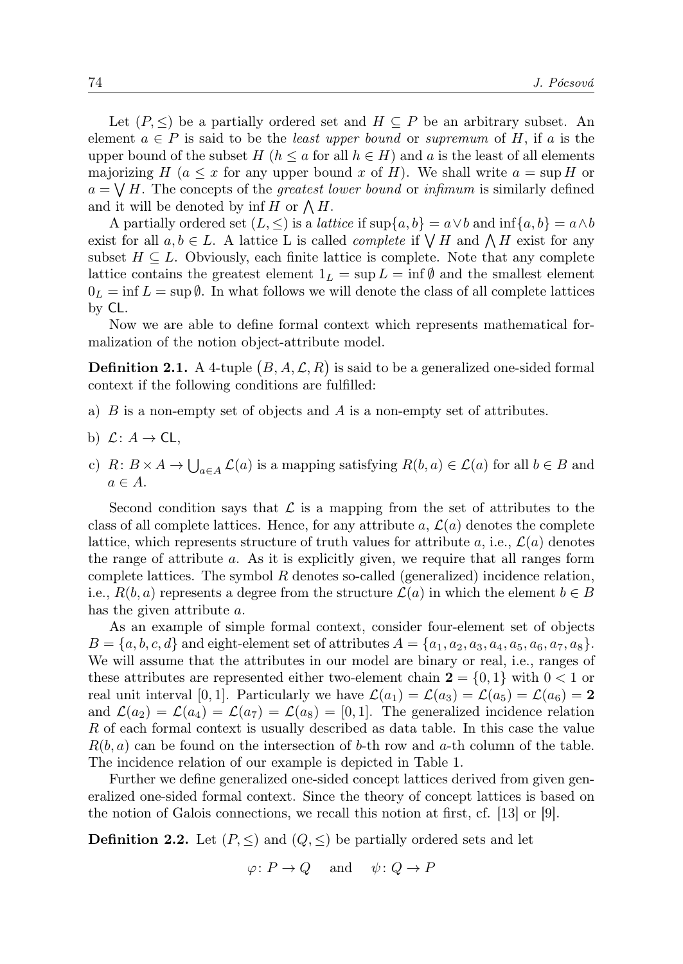Let  $(P, \leq)$  be a partially ordered set and  $H \subseteq P$  be an arbitrary subset. An element  $a \in P$  is said to be the *least upper bound* or *supremum* of H, if a is the upper bound of the subset H ( $h \le a$  for all  $h \in H$ ) and a is the least of all elements majorizing H ( $a \leq x$  for any upper bound x of H). We shall write  $a = \sup H$  or  $a = \bigvee H$ . The concepts of the *greatest lower bound* or *infimum* is similarly defined and it will be denoted by  $\inf H$  or  $\bigwedge H$ .

A partially ordered set  $(L, \leq)$  is a *lattice* if sup $\{a, b\} = a \vee b$  and  $\inf\{a, b\} = a \wedge b$ exist for all  $a, b \in L$ . A lattice L is called *complete* if  $\bigvee H$  and  $\bigwedge H$  exist for any subset  $H \subseteq L$ . Obviously, each finite lattice is complete. Note that any complete lattice contains the greatest element  $1_L = \sup L = \inf \emptyset$  and the smallest element  $0_L = \inf L = \sup \emptyset$ . In what follows we will denote the class of all complete lattices by CL.

Now we are able to define formal context which represents mathematical formalization of the notion object-attribute model.

**Definition 2.1.** A 4-tuple  $(B, A, \mathcal{L}, R)$  is said to be a generalized one-sided formal context if the following conditions are fulfilled:

- a)  $B$  is a non-empty set of objects and  $A$  is a non-empty set of attributes.
- b)  $\mathcal{L}: A \rightarrow \mathsf{CL},$
- c)  $R: B \times A \to \bigcup_{a \in A} \mathcal{L}(a)$  is a mapping satisfying  $R(b, a) \in \mathcal{L}(a)$  for all  $b \in B$  and  $a \in A$ .

Second condition says that  $\mathcal L$  is a mapping from the set of attributes to the class of all complete lattices. Hence, for any attribute a,  $\mathcal{L}(a)$  denotes the complete lattice, which represents structure of truth values for attribute a, i.e.,  $\mathcal{L}(a)$  denotes the range of attribute a. As it is explicitly given, we require that all ranges form complete lattices. The symbol  $R$  denotes so-called (generalized) incidence relation, i.e.,  $R(b, a)$  represents a degree from the structure  $\mathcal{L}(a)$  in which the element  $b \in B$ has the given attribute a.

As an example of simple formal context, consider four-element set of objects  $B = \{a, b, c, d\}$  and eight-element set of attributes  $A = \{a_1, a_2, a_3, a_4, a_5, a_6, a_7, a_8\}.$ We will assume that the attributes in our model are binary or real, i.e., ranges of these attributes are represented either two-element chain  $2 = \{0, 1\}$  with  $0 < 1$  or real unit interval [0, 1]. Particularly we have  $\mathcal{L}(a_1) = \mathcal{L}(a_3) = \mathcal{L}(a_5) = \mathcal{L}(a_6) = 2$ and  $\mathcal{L}(a_2) = \mathcal{L}(a_4) = \mathcal{L}(a_7) = \mathcal{L}(a_8) = [0, 1]$ . The generalized incidence relation R of each formal context is usually described as data table. In this case the value  $R(b, a)$  can be found on the intersection of b-th row and a-th column of the table. The incidence relation of our example is depicted in Table 1.

Further we define generalized one-sided concept lattices derived from given generalized one-sided formal context. Since the theory of concept lattices is based on the notion of Galois connections, we recall this notion at first, cf. [13] or [9].

**Definition 2.2.** Let  $(P, \leq)$  and  $(Q, \leq)$  be partially ordered sets and let

 $\varphi \colon P \to Q$  and  $\psi \colon Q \to P$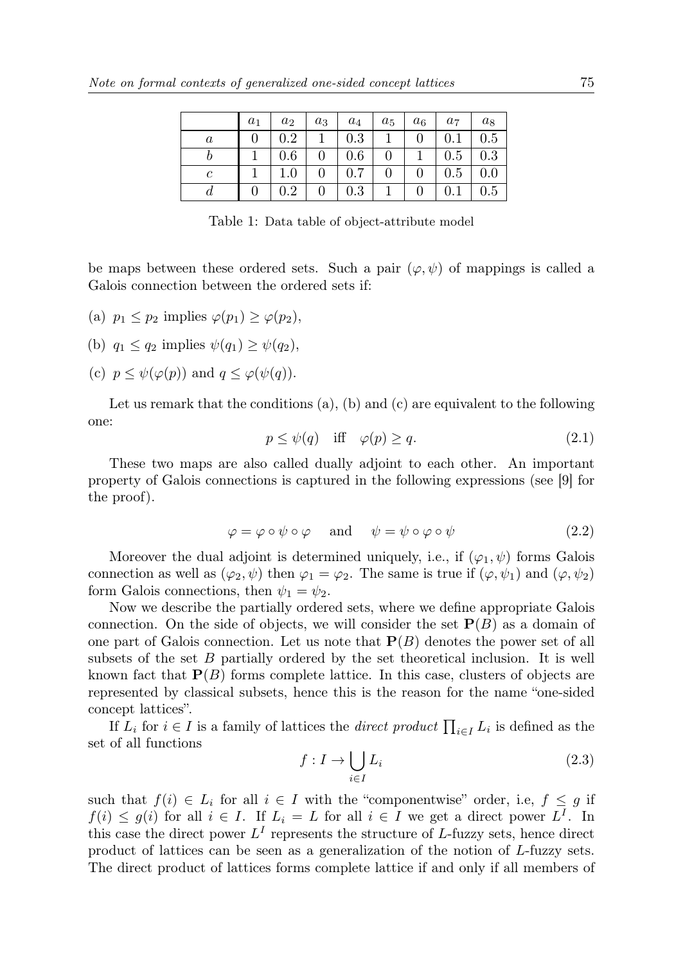|         | $a_1$ | $a_2$   | $a_3$ | $a_4$ | $a_5$            | $a_6$ | a <sub>7</sub> | $a_8$ |
|---------|-------|---------|-------|-------|------------------|-------|----------------|-------|
| $\it a$ |       | 0.2     |       | 0.3   |                  |       |                | 0.5   |
|         |       | 0.6     |       | 0.6   | $\boldsymbol{0}$ |       | 0.5            | 0.3   |
| с       |       | $1.0\,$ |       | 0.7   | $\overline{0}$   |       | 0.5            | 0.0   |
|         |       | $0.2\,$ |       | 0.3   |                  |       |                | 0.5   |

Table 1: Data table of object-attribute model

be maps between these ordered sets. Such a pair  $(\varphi, \psi)$  of mappings is called a Galois connection between the ordered sets if:

- (a)  $p_1 < p_2$  implies  $\varphi(p_1) > \varphi(p_2)$ ,
- (b)  $q_1 \leq q_2$  implies  $\psi(q_1) > \psi(q_2)$ ,
- (c)  $p \leq \psi(\varphi(p))$  and  $q \leq \varphi(\psi(q)).$

Let us remark that the conditions  $(a)$ ,  $(b)$  and  $(c)$  are equivalent to the following one:

$$
p \le \psi(q) \quad \text{iff} \quad \varphi(p) \ge q. \tag{2.1}
$$

These two maps are also called dually adjoint to each other. An important property of Galois connections is captured in the following expressions (see [9] for the proof).

$$
\varphi = \varphi \circ \psi \circ \varphi \quad \text{and} \quad \psi = \psi \circ \varphi \circ \psi \tag{2.2}
$$

Moreover the dual adjoint is determined uniquely, i.e., if  $(\varphi_1, \psi)$  forms Galois connection as well as  $(\varphi_2, \psi)$  then  $\varphi_1 = \varphi_2$ . The same is true if  $(\varphi, \psi_1)$  and  $(\varphi, \psi_2)$ form Galois connections, then  $\psi_1 = \psi_2$ .

Now we describe the partially ordered sets, where we define appropriate Galois connection. On the side of objects, we will consider the set  $P(B)$  as a domain of one part of Galois connection. Let us note that  $P(B)$  denotes the power set of all subsets of the set  $B$  partially ordered by the set theoretical inclusion. It is well known fact that  $P(B)$  forms complete lattice. In this case, clusters of objects are represented by classical subsets, hence this is the reason for the name "one-sided concept lattices".

If  $L_i$  for  $i \in I$  is a family of lattices the *direct product*  $\prod_{i \in I} L_i$  is defined as the set of all functions

$$
f: I \to \bigcup_{i \in I} L_i \tag{2.3}
$$

such that  $f(i) \in L_i$  for all  $i \in I$  with the "componentwise" order, i.e,  $f \leq g$  if  $f(i) \leq g(i)$  for all  $i \in I$ . If  $L_i = L$  for all  $i \in I$  we get a direct power  $L^I$ . In this case the direct power  $L^I$  represents the structure of L-fuzzy sets, hence direct product of lattices can be seen as a generalization of the notion of L-fuzzy sets. The direct product of lattices forms complete lattice if and only if all members of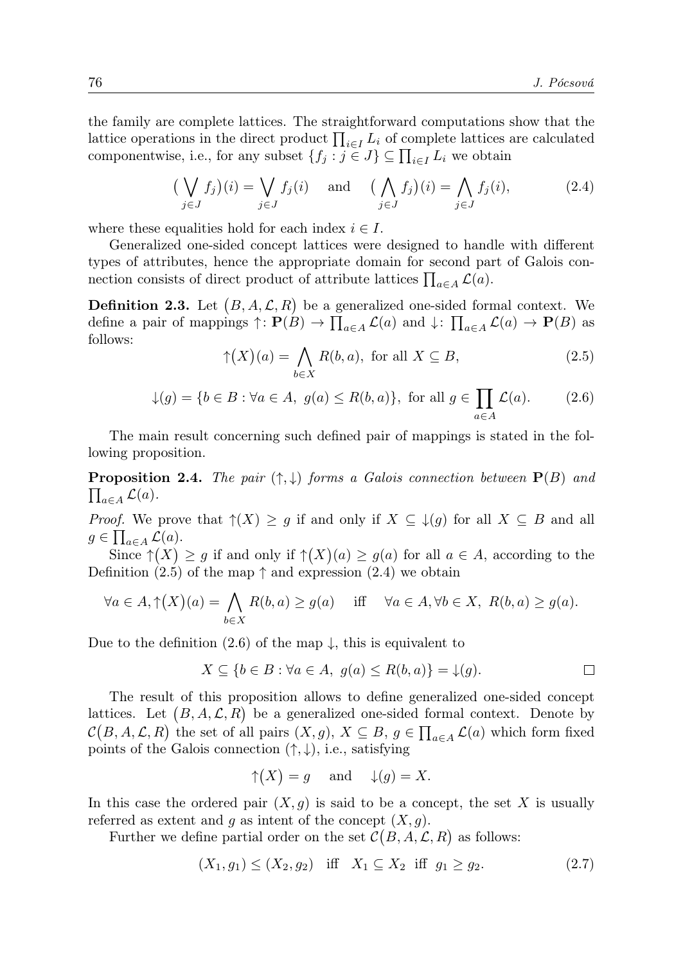the family are complete lattices. The straightforward computations show that the lattice operations in the direct product  $\prod_{i\in I} L_i$  of complete lattices are calculated componentwise, i.e., for any subset  $\{f_j : j \in J\} \subseteq \prod_{i \in I} L_i$  we obtain

$$
\left(\bigvee_{j\in J} f_j\right)(i) = \bigvee_{j\in J} f_j(i) \quad \text{and} \quad \left(\bigwedge_{j\in J} f_j\right)(i) = \bigwedge_{j\in J} f_j(i),\tag{2.4}
$$

where these equalities hold for each index  $i \in I$ .

Generalized one-sided concept lattices were designed to handle with different types of attributes, hence the appropriate domain for second part of Galois connection consists of direct product of attribute lattices  $\prod_{a \in A} \mathcal{L}(a)$ .

**Definition 2.3.** Let  $(B, A, \mathcal{L}, R)$  be a generalized one-sided formal context. We define a pair of mappings  $\uparrow : \mathbf{P}(B) \to \prod_{a \in A} \mathcal{L}(a)$  and  $\downarrow : \prod_{a \in A} \mathcal{L}(a) \to \mathbf{P}(B)$  as follows:

$$
\uparrow (X)(a) = \bigwedge_{b \in X} R(b, a), \text{ for all } X \subseteq B,
$$
\n(2.5)

$$
\downarrow(g) = \{b \in B : \forall a \in A, \ g(a) \le R(b, a)\}, \text{ for all } g \in \prod_{a \in A} \mathcal{L}(a). \tag{2.6}
$$

The main result concerning such defined pair of mappings is stated in the following proposition.

**Proposition 2.4.** The pair  $(\uparrow, \downarrow)$  forms a Galois connection between  $\mathbf{P}(B)$  and  $\prod_{a\in A} \mathcal{L}(a).$ 

*Proof.* We prove that  $\uparrow(X) \geq g$  if and only if  $X \subseteq \downarrow(g)$  for all  $X \subseteq B$  and all  $g \in \prod_{a \in A} \mathcal{L}(a).$ 

Since  $\uparrow (X) \ge g$  if and only if  $\uparrow (X)(a) \ge g(a)$  for all  $a \in A$ , according to the Definition (2.5) of the map  $\uparrow$  and expression (2.4) we obtain

$$
\forall a \in A, \uparrow (X)(a) = \bigwedge_{b \in X} R(b, a) \ge g(a) \quad \text{iff} \quad \forall a \in A, \forall b \in X, \ R(b, a) \ge g(a).
$$

Due to the definition (2.6) of the map  $\downarrow$ , this is equivalent to

$$
X \subseteq \{b \in B : \forall a \in A, g(a) \le R(b, a)\} = \downarrow(g).
$$

The result of this proposition allows to define generalized one-sided concept lattices. Let  $(B, A, \mathcal{L}, R)$  be a generalized one-sided formal context. Denote by  $\mathcal{C}(B, A, \mathcal{L}, R)$  the set of all pairs  $(X, g), X \subseteq B, g \in \prod_{a \in A} \mathcal{L}(a)$  which form fixed points of the Galois connection  $(†, \downarrow)$ , i.e., satisfying

$$
\uparrow
$$
(X) = g and  $\downarrow$ (g) = X.

In this case the ordered pair  $(X, g)$  is said to be a concept, the set X is usually referred as extent and g as intent of the concept  $(X, g)$ .

Further we define partial order on the set  $\mathcal{C}(B, A, \mathcal{L}, R)$  as follows:

$$
(X_1, g_1) \le (X_2, g_2) \quad \text{iff} \quad X_1 \subseteq X_2 \quad \text{iff} \quad g_1 \ge g_2. \tag{2.7}
$$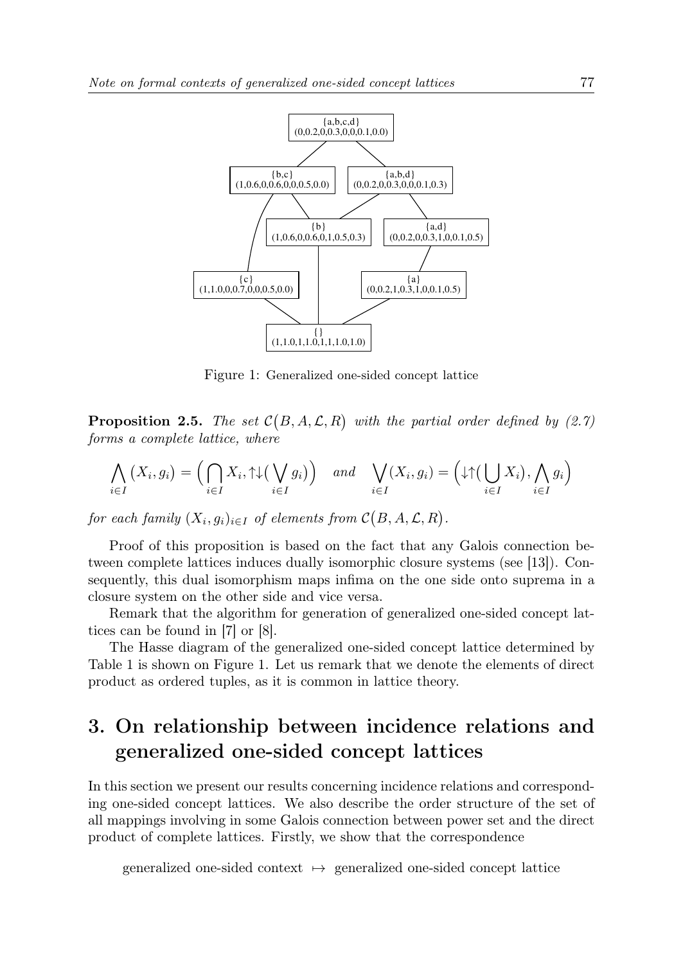

Figure 1: Generalized one-sided concept lattice

**Proposition 2.5.** The set  $C(B, A, \mathcal{L}, R)$  with the partial order defined by (2.7) forms a complete lattice, where

$$
\bigwedge_{i \in I} (X_i, g_i) = \Big( \bigcap_{i \in I} X_i, \uparrow \downarrow \Big( \bigvee_{i \in I} g_i \Big) \Big) \quad \text{and} \quad \bigvee_{i \in I} (X_i, g_i) = \Big( \downarrow \uparrow \Big( \bigcup_{i \in I} X_i \Big), \bigwedge_{i \in I} g_i \Big)
$$

for each family  $(X_i, g_i)_{i \in I}$  of elements from  $\mathcal{C}(B, A, \mathcal{L}, R)$ .

Proof of this proposition is based on the fact that any Galois connection between complete lattices induces dually isomorphic closure systems (see [13]). Consequently, this dual isomorphism maps infima on the one side onto suprema in a closure system on the other side and vice versa.

Remark that the algorithm for generation of generalized one-sided concept lattices can be found in [7] or [8].

The Hasse diagram of the generalized one-sided concept lattice determined by Table 1 is shown on Figure 1. Let us remark that we denote the elements of direct product as ordered tuples, as it is common in lattice theory.

# 3. On relationship between incidence relations and generalized one-sided concept lattices

In this section we present our results concerning incidence relations and corresponding one-sided concept lattices. We also describe the order structure of the set of all mappings involving in some Galois connection between power set and the direct product of complete lattices. Firstly, we show that the correspondence

generalized one-sided context  $\mapsto$  generalized one-sided concept lattice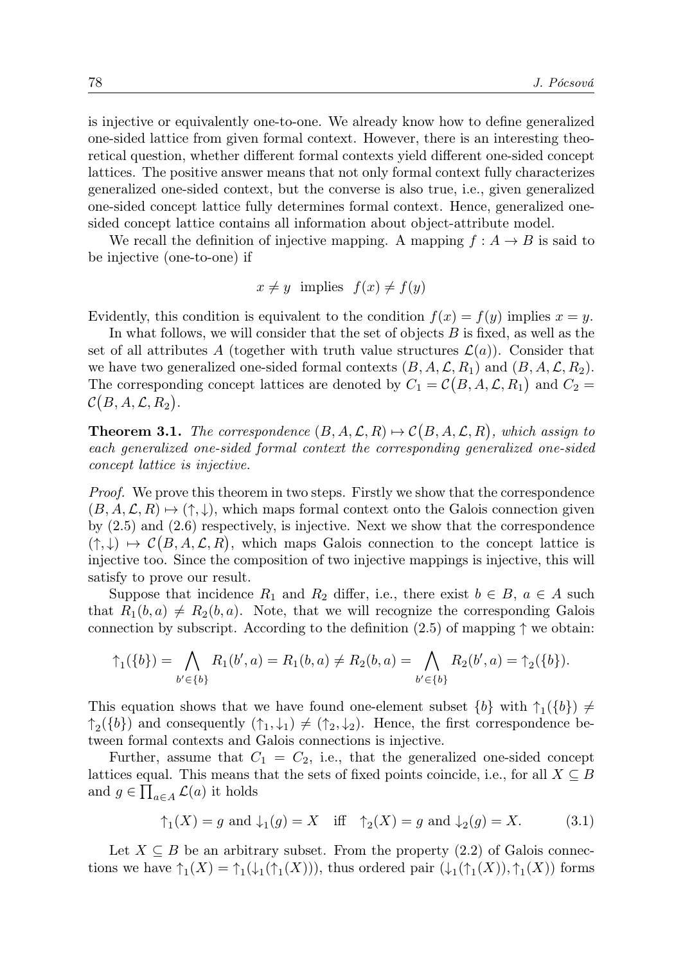is injective or equivalently one-to-one. We already know how to define generalized one-sided lattice from given formal context. However, there is an interesting theoretical question, whether different formal contexts yield different one-sided concept lattices. The positive answer means that not only formal context fully characterizes generalized one-sided context, but the converse is also true, i.e., given generalized one-sided concept lattice fully determines formal context. Hence, generalized onesided concept lattice contains all information about object-attribute model.

We recall the definition of injective mapping. A mapping  $f : A \rightarrow B$  is said to be injective (one-to-one) if

$$
x \neq y \text{ implies } f(x) \neq f(y)
$$

Evidently, this condition is equivalent to the condition  $f(x) = f(y)$  implies  $x = y$ .

In what follows, we will consider that the set of objects B is fixed, as well as the set of all attributes A (together with truth value structures  $\mathcal{L}(a)$ ). Consider that we have two generalized one-sided formal contexts  $(B, A, \mathcal{L}, R_1)$  and  $(B, A, \mathcal{L}, R_2)$ . The corresponding concept lattices are denoted by  $C_1 = \mathcal{C}(B, A, \mathcal{L}, R_1)$  and  $C_2 =$  $\mathcal{C}\big(B,A,\mathcal{L},R_2\big).$ 

**Theorem 3.1.** The correspondence  $(B, A, \mathcal{L}, R) \mapsto \mathcal{C}(B, A, \mathcal{L}, R)$ , which assign to each generalized one-sided formal context the corresponding generalized one-sided concept lattice is injective.

*Proof.* We prove this theorem in two steps. Firstly we show that the correspondence  $(B, A, \mathcal{L}, R) \mapsto (\uparrow, \downarrow)$ , which maps formal context onto the Galois connection given by (2.5) and (2.6) respectively, is injective. Next we show that the correspondence  $(†, \downarrow) \mapsto \mathcal{C}(B, A, \mathcal{L}, R)$ , which maps Galois connection to the concept lattice is injective too. Since the composition of two injective mappings is injective, this will satisfy to prove our result.

Suppose that incidence  $R_1$  and  $R_2$  differ, i.e., there exist  $b \in B$ ,  $a \in A$  such that  $R_1(b, a) \neq R_2(b, a)$ . Note, that we will recognize the corresponding Galois connection by subscript. According to the definition  $(2.5)$  of mapping  $\uparrow$  we obtain:

$$
\uparrow_1(\{b\}) = \bigwedge_{b' \in \{b\}} R_1(b', a) = R_1(b, a) \neq R_2(b, a) = \bigwedge_{b' \in \{b\}} R_2(b', a) = \uparrow_2(\{b\}).
$$

This equation shows that we have found one-element subset  $\{b\}$  with  $\uparrow_1(\{b\}) \neq$  $\uparrow_2(\{b\})$  and consequently  $(\uparrow_1, \downarrow_1) \neq (\uparrow_2, \downarrow_2)$ . Hence, the first correspondence between formal contexts and Galois connections is injective.

Further, assume that  $C_1 = C_2$ , i.e., that the generalized one-sided concept lattices equal. This means that the sets of fixed points coincide, i.e., for all  $X \subseteq B$ and  $g \in \prod_{a \in A} \mathcal{L}(a)$  it holds

$$
\uparrow_1(X) = g \text{ and } \downarrow_1(g) = X \quad \text{iff} \quad \uparrow_2(X) = g \text{ and } \downarrow_2(g) = X. \tag{3.1}
$$

Let  $X \subseteq B$  be an arbitrary subset. From the property (2.2) of Galois connections we have  $\uparrow_1(X) = \uparrow_1(\downarrow_1(\uparrow_1(X)))$ , thus ordered pair  $(\downarrow_1(\uparrow_1(X)), \uparrow_1(X))$  forms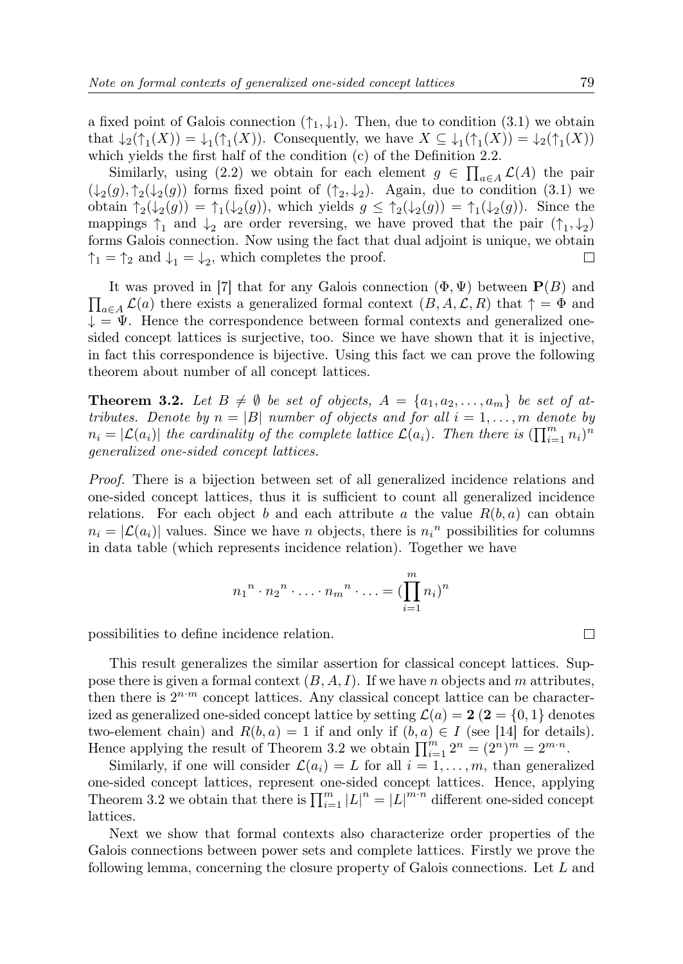a fixed point of Galois connection  $(\uparrow_1, \downarrow_1)$ . Then, due to condition (3.1) we obtain that  $\downarrow_2(\uparrow_1(X)) = \downarrow_1(\uparrow_1(X))$ . Consequently, we have  $X \subseteq \downarrow_1(\uparrow_1(X)) = \downarrow_2(\uparrow_1(X))$ which yields the first half of the condition (c) of the Definition 2.2.

Similarly, using (2.2) we obtain for each element  $g \in \prod_{a \in A} \mathcal{L}(A)$  the pair  $(\downarrow_2(g), \uparrow_2(\downarrow_2(g))$  forms fixed point of  $(\uparrow_2, \downarrow_2)$ . Again, due to condition (3.1) we obtain  $\uparrow_2(\downarrow_2(g)) = \uparrow_1(\downarrow_2(g))$ , which yields  $g \leq \uparrow_2(\downarrow_2(g)) = \uparrow_1(\downarrow_2(g))$ . Since the mappings  $\uparrow_1$  and  $\downarrow_2$  are order reversing, we have proved that the pair  $(\uparrow_1, \downarrow_2)$ forms Galois connection. Now using the fact that dual adjoint is unique, we obtain  $\uparrow_1 = \uparrow_2$  and  $\downarrow_1 = \downarrow_2$ , which completes the proof.  $\Box$ 

 $\prod_{a\in A} \mathcal{L}(a)$  there exists a generalized formal context  $(B, A, \mathcal{L}, R)$  that  $\uparrow = \Phi$  and It was proved in [7] that for any Galois connection  $(\Phi, \Psi)$  between  $P(B)$  and  $\downarrow = \Psi$ . Hence the correspondence between formal contexts and generalized onesided concept lattices is surjective, too. Since we have shown that it is injective, in fact this correspondence is bijective. Using this fact we can prove the following theorem about number of all concept lattices.

**Theorem 3.2.** Let  $B \neq \emptyset$  be set of objects,  $A = \{a_1, a_2, \ldots, a_m\}$  be set of attributes. Denote by  $n = |B|$  number of objects and for all  $i = 1, \ldots, m$  denote by  $n_i = |\mathcal{L}(a_i)|$  the cardinality of the complete lattice  $\mathcal{L}(a_i)$ . Then there is  $(\prod_{i=1}^m n_i)^n$ generalized one-sided concept lattices.

Proof. There is a bijection between set of all generalized incidence relations and one-sided concept lattices, thus it is sufficient to count all generalized incidence relations. For each object b and each attribute a the value  $R(b, a)$  can obtain  $n_i = |\mathcal{L}(a_i)|$  values. Since we have *n* objects, there is  $n_i$ <sup>n</sup> possibilities for columns in data table (which represents incidence relation). Together we have

$$
n_1{}^n \cdot n_2{}^n \cdot \ldots \cdot n_m{}^n \cdot \ldots = (\prod_{i=1}^m n_i)^n
$$

possibilities to define incidence relation.

This result generalizes the similar assertion for classical concept lattices. Suppose there is given a formal context  $(B, A, I)$ . If we have n objects and m attributes, then there is  $2^{n-m}$  concept lattices. Any classical concept lattice can be characterized as generalized one-sided concept lattice by setting  $\mathcal{L}(a) = 2$  (2 = {0, 1} denotes two-element chain) and  $R(b, a) = 1$  if and only if  $(b, a) \in I$  (see [14] for details). Hence applying the result of Theorem 3.2 we obtain  $\prod_{i=1}^{m} 2^n = (2^n)^m = 2^{m \cdot n}$ .

Similarly, if one will consider  $\mathcal{L}(a_i) = L$  for all  $i = 1, \ldots, m$ , than generalized one-sided concept lattices, represent one-sided concept lattices. Hence, applying Theorem 3.2 we obtain that there is  $\prod_{i=1}^m |L|^n = |L|^{m \cdot n}$  different one-sided concept lattices.

Next we show that formal contexts also characterize order properties of the Galois connections between power sets and complete lattices. Firstly we prove the following lemma, concerning the closure property of Galois connections. Let L and

 $\Box$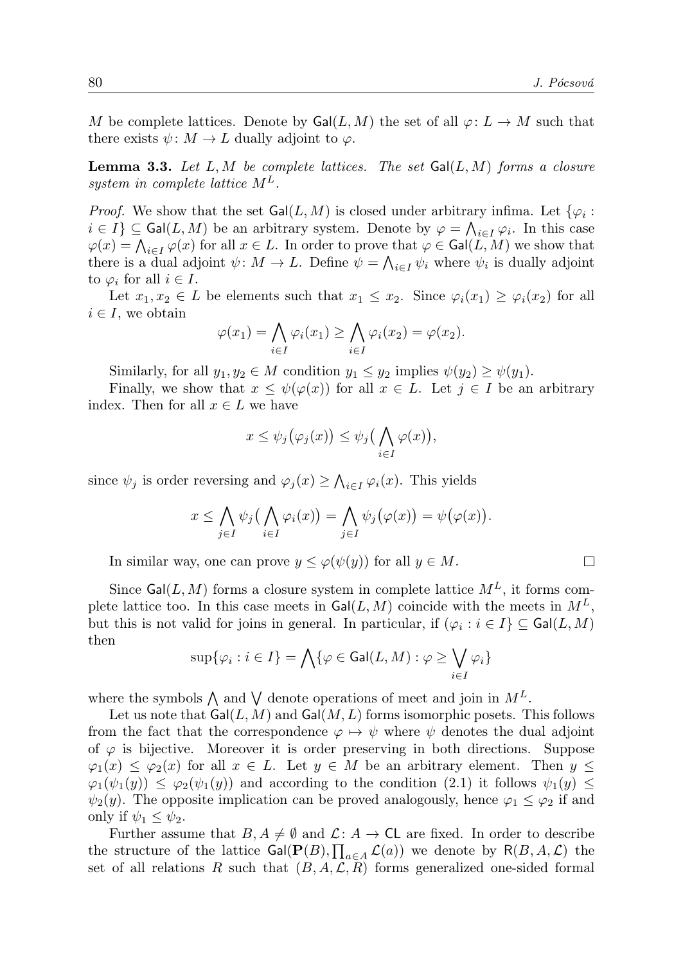M be complete lattices. Denote by  $Gal(L, M)$  the set of all  $\varphi: L \to M$  such that there exists  $\psi \colon M \to L$  dually adjoint to  $\varphi$ .

**Lemma 3.3.** Let L, M be complete lattices. The set  $Gal(L, M)$  forms a closure system in complete lattice  $M^L$ .

*Proof.* We show that the set  $Gal(L, M)$  is closed under arbitrary infima. Let  $\{\varphi_i :$  $i \in I$   $\subseteq$  Gal $(L, M)$  be an arbitrary system. Denote by  $\varphi = \bigwedge_{i \in I} \varphi_i$ . In this case  $\varphi(x) = \bigwedge_{i \in I} \varphi(x)$  for all  $x \in L$ . In order to prove that  $\varphi \in \text{Gal}(L, M)$  we show that there is a dual adjoint  $\psi \colon M \to L$ . Define  $\psi = \bigwedge_{i \in I} \psi_i$  where  $\psi_i$  is dually adjoint to  $\varphi_i$  for all  $i \in I$ .

Let  $x_1, x_2 \in L$  be elements such that  $x_1 \leq x_2$ . Since  $\varphi_i(x_1) \geq \varphi_i(x_2)$  for all  $i \in I$ , we obtain

$$
\varphi(x_1) = \bigwedge_{i \in I} \varphi_i(x_1) \ge \bigwedge_{i \in I} \varphi_i(x_2) = \varphi(x_2).
$$

Similarly, for all  $y_1, y_2 \in M$  condition  $y_1 \leq y_2$  implies  $\psi(y_2) \geq \psi(y_1)$ .

Finally, we show that  $x \leq \psi(\varphi(x))$  for all  $x \in L$ . Let  $j \in I$  be an arbitrary index. Then for all  $x \in L$  we have

$$
x \leq \psi_j(\varphi_j(x)) \leq \psi_j\big(\bigwedge_{i \in I} \varphi(x)\big),
$$

since  $\psi_j$  is order reversing and  $\varphi_j(x) \geq \bigwedge_{i \in I} \varphi_i(x)$ . This yields

$$
x \leq \bigwedge_{j \in I} \psi_j \big( \bigwedge_{i \in I} \varphi_i(x) \big) = \bigwedge_{j \in I} \psi_j \big( \varphi(x) \big) = \psi \big( \varphi(x) \big).
$$

In similar way, one can prove  $y \leq \varphi(\psi(y))$  for all  $y \in M$ .

Since  $Gal(L, M)$  forms a closure system in complete lattice  $M<sup>L</sup>$ , it forms complete lattice too. In this case meets in  $Gal(L, M)$  coincide with the meets in  $M<sup>L</sup>$ , but this is not valid for joins in general. In particular, if  $(\varphi_i : i \in I) \subseteq \text{Gal}(L, M)$ then

$$
\sup\{\varphi_i : i \in I\} = \bigwedge\{\varphi \in \mathsf{Gal}(L,M) : \varphi \ge \bigvee_{i \in I} \varphi_i\}
$$

where the symbols  $\bigwedge$  and  $\bigvee$  denote operations of meet and join in  $M^L$ .

Let us note that  $\textsf{Gal}(L,M)$  and  $\textsf{Gal}(M,L)$  forms isomorphic posets. This follows from the fact that the correspondence  $\varphi \mapsto \psi$  where  $\psi$  denotes the dual adjoint of  $\varphi$  is bijective. Moreover it is order preserving in both directions. Suppose  $\varphi_1(x) \leq \varphi_2(x)$  for all  $x \in L$ . Let  $y \in M$  be an arbitrary element. Then  $y \leq$  $\varphi_1(\psi_1(y)) \leq \varphi_2(\psi_1(y))$  and according to the condition (2.1) it follows  $\psi_1(y) \leq$  $\psi_2(y)$ . The opposite implication can be proved analogously, hence  $\varphi_1 \leq \varphi_2$  if and only if  $\psi_1 \leq \psi_2$ .

Further assume that  $B, A \neq \emptyset$  and  $\mathcal{L}: A \to \mathsf{CL}$  are fixed. In order to describe the structure of the lattice  $Gal(\mathbf{P}(B), \prod_{a \in A} \mathcal{L}(a))$  we denote by  $R(B, A, \mathcal{L})$  the set of all relations R such that  $(B, A, \mathcal{L}, R)$  forms generalized one-sided formal

 $\Box$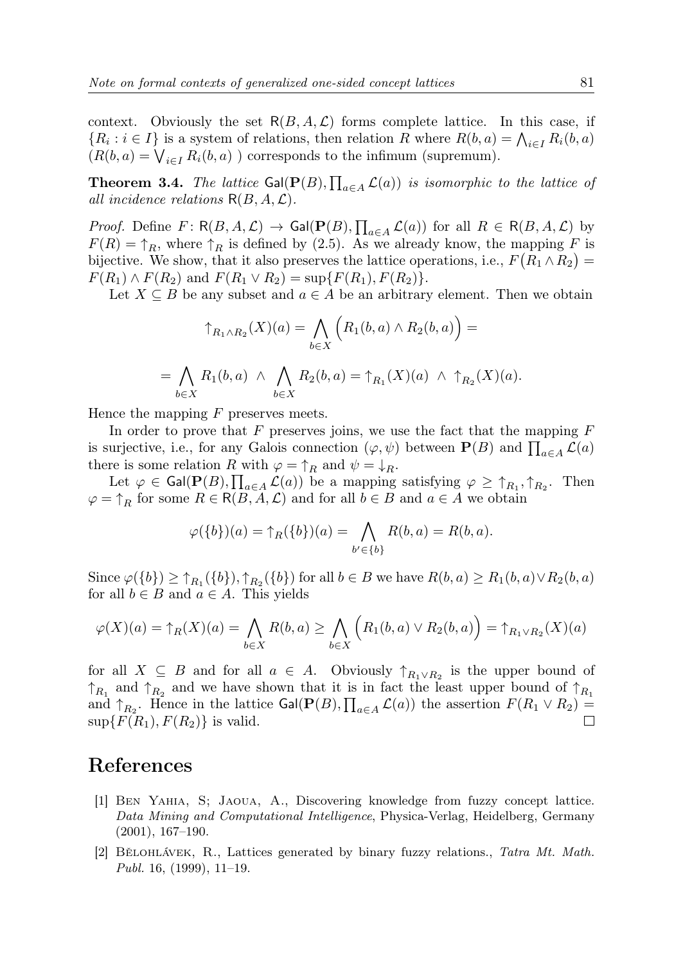context. Obviously the set  $R(B, A, \mathcal{L})$  forms complete lattice. In this case, if  ${R_i : i \in I}$  is a system of relations, then relation R where  $R(b, a) = \bigwedge_{i \in I} R_i(b, a)$  $(R(b, a) = \bigvee_{i \in I} R_i(b, a)$  ) corresponds to the infimum (supremum).

**Theorem 3.4.** The lattice  $Gal(\mathbf{P}(B), \prod_{a \in A} \mathcal{L}(a))$  is isomorphic to the lattice of all incidence relations  $R(B, A, \mathcal{L})$ .

*Proof.* Define  $F: \mathsf{R}(B, A, \mathcal{L}) \to \mathsf{Gal}(\mathbf{P}(B), \prod_{a \in A} \mathcal{L}(a))$  for all  $R \in \mathsf{R}(B, A, \mathcal{L})$  by  $F(R) = \uparrow_R$ , where  $\uparrow_R$  is defined by (2.5). As we already know, the mapping F is bijective. We show, that it also preserves the lattice operations, i.e.,  $F(R_1 \wedge R_2) =$  $F(R_1) \wedge F(R_2)$  and  $F(R_1 \vee R_2) = \sup \{ F(R_1), F(R_2) \}.$ 

Let  $X \subseteq B$  be any subset and  $a \in A$  be an arbitrary element. Then we obtain

$$
\uparrow_{R_1 \wedge R_2}(X)(a) = \bigwedge_{b \in X} \left( R_1(b, a) \wedge R_2(b, a) \right) =
$$
  
= 
$$
\bigwedge_{b \in X} R_1(b, a) \wedge \bigwedge_{b \in X} R_2(b, a) = \uparrow_{R_1}(X)(a) \wedge \uparrow_{R_2}(X)(a).
$$

Hence the mapping  $F$  preserves meets.

In order to prove that  $F$  preserves joins, we use the fact that the mapping  $F$ is surjective, i.e., for any Galois connection  $(\varphi, \psi)$  between  $\mathbf{P}(B)$  and  $\prod_{a \in A} \mathcal{L}(a)$ there is some relation R with  $\varphi = \uparrow_R$  and  $\psi = \downarrow_R$ .

Let  $\varphi \in \text{Gal}(\mathbf{P}(B), \prod_{a \in A} \mathcal{L}(a))$  be a mapping satisfying  $\varphi \geq \uparrow_{R_1}, \uparrow_{R_2}$ . Then  $\varphi = \uparrow_R$  for some  $R \in R(B, A, \mathcal{L})$  and for all  $b \in B$  and  $a \in A$  we obtain

$$
\varphi({b})(a) = \uparrow_R({b})(a) = \bigwedge_{b' \in {b}} R(b, a) = R(b, a).
$$

Since  $\varphi({b}) \geq \uparrow_{R_1}({b}), \uparrow_{R_2}({b})$  for all  $b \in B$  we have  $R(b, a) \geq R_1(b, a) \vee R_2(b, a)$ for all  $b \in B$  and  $a \in A$ . This yields

$$
\varphi(X)(a) = \uparrow_R(X)(a) = \bigwedge_{b \in X} R(b, a) \ge \bigwedge_{b \in X} \left( R_1(b, a) \vee R_2(b, a) \right) = \uparrow_{R_1 \vee R_2}(X)(a)
$$

for all  $X \subseteq B$  and for all  $a \in A$ . Obviously  $\uparrow_{R_1 \vee R_2}$  is the upper bound of  $\uparrow_{R_1}$  and  $\uparrow_{R_2}$  and we have shown that it is in fact the least upper bound of  $\uparrow_{R_1}$ and  $\uparrow_{R_2}$ . Hence in the lattice  $Gal(\mathbf{P}(B), \prod_{a \in A} \mathcal{L}(a))$  the assertion  $F(R_1 \vee R_2) =$  $\sup\{F(R_1), F(R_2)\}\$ is valid.

#### References

- [1] Ben Yahia, S; Jaoua, A., Discovering knowledge from fuzzy concept lattice. Data Mining and Computational Intelligence, Physica-Verlag, Heidelberg, Germany (2001), 167–190.
- [2] Bělohlávek, R., Lattices generated by binary fuzzy relations., Tatra Mt. Math. Publ. 16,  $(1999)$ , 11–19.